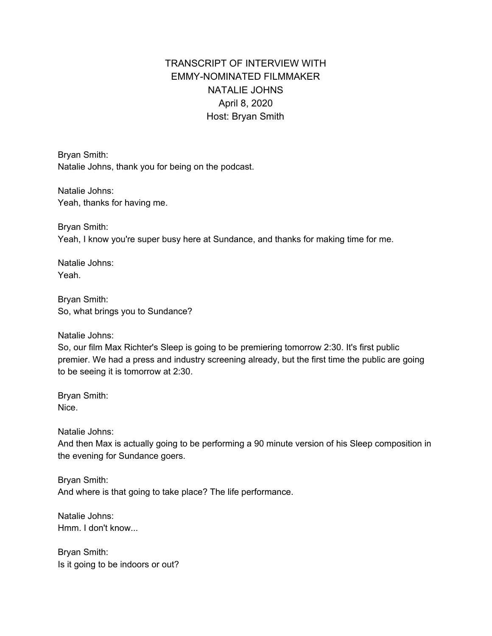# TRANSCRIPT OF INTERVIEW WITH EMMY-NOMINATED FILMMAKER NATALIE JOHNS April 8, 2020 Host: Bryan Smith

Bryan Smith: Natalie Johns, thank you for being on the podcast.

Natalie Johns: Yeah, thanks for having me.

Bryan Smith: Yeah, I know you're super busy here at Sundance, and thanks for making time for me.

Natalie Johns: Yeah.

Bryan Smith: So, what brings you to Sundance?

Natalie Johns:

So, our film Max Richter's Sleep is going to be premiering tomorrow 2:30. It's first public premier. We had a press and industry screening already, but the first time the public are going to be seeing it is tomorrow at 2:30.

Bryan Smith: Nice.

Natalie Johns:

And then Max is actually going to be performing a 90 minute version of his Sleep composition in the evening for Sundance goers.

Bryan Smith: And where is that going to take place? The life performance.

Natalie Johns: Hmm. I don't know...

Bryan Smith: Is it going to be indoors or out?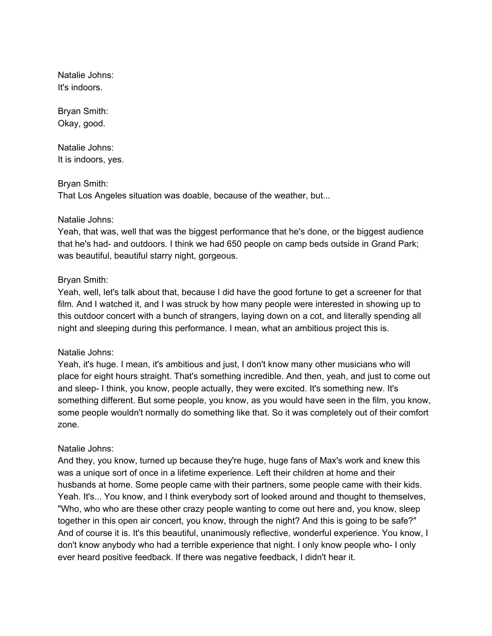Natalie Johns: It's indoors.

Bryan Smith: Okay, good.

Natalie Johns: It is indoors, yes.

# Bryan Smith:

That Los Angeles situation was doable, because of the weather, but...

# Natalie Johns:

Yeah, that was, well that was the biggest performance that he's done, or the biggest audience that he's had- and outdoors. I think we had 650 people on camp beds outside in Grand Park; was beautiful, beautiful starry night, gorgeous.

# Bryan Smith:

Yeah, well, let's talk about that, because I did have the good fortune to get a screener for that film. And I watched it, and I was struck by how many people were interested in showing up to this outdoor concert with a bunch of strangers, laying down on a cot, and literally spending all night and sleeping during this performance. I mean, what an ambitious project this is.

### Natalie Johns:

Yeah, it's huge. I mean, it's ambitious and just, I don't know many other musicians who will place for eight hours straight. That's something incredible. And then, yeah, and just to come out and sleep- I think, you know, people actually, they were excited. It's something new. It's something different. But some people, you know, as you would have seen in the film, you know, some people wouldn't normally do something like that. So it was completely out of their comfort zone.

# Natalie Johns:

And they, you know, turned up because they're huge, huge fans of Max's work and knew this was a unique sort of once in a lifetime experience. Left their children at home and their husbands at home. Some people came with their partners, some people came with their kids. Yeah. It's... You know, and I think everybody sort of looked around and thought to themselves, "Who, who who are these other crazy people wanting to come out here and, you know, sleep together in this open air concert, you know, through the night? And this is going to be safe?" And of course it is. It's this beautiful, unanimously reflective, wonderful experience. You know, I don't know anybody who had a terrible experience that night. I only know people who- I only ever heard positive feedback. If there was negative feedback, I didn't hear it.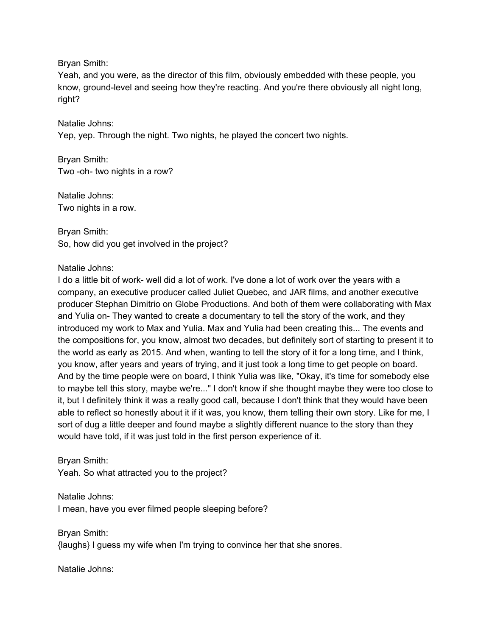Bryan Smith:

Yeah, and you were, as the director of this film, obviously embedded with these people, you know, ground-level and seeing how they're reacting. And you're there obviously all night long, right?

Natalie Johns: Yep, yep. Through the night. Two nights, he played the concert two nights.

Bryan Smith: Two -oh- two nights in a row?

Natalie Johns: Two nights in a row.

Bryan Smith: So, how did you get involved in the project?

Natalie Johns:

I do a little bit of work- well did a lot of work. I've done a lot of work over the years with a company, an executive producer called Juliet Quebec, and JAR films, and another executive producer Stephan Dimitrio on Globe Productions. And both of them were collaborating with Max and Yulia on- They wanted to create a documentary to tell the story of the work, and they introduced my work to Max and Yulia. Max and Yulia had been creating this... The events and the compositions for, you know, almost two decades, but definitely sort of starting to present it to the world as early as 2015. And when, wanting to tell the story of it for a long time, and I think, you know, after years and years of trying, and it just took a long time to get people on board. And by the time people were on board, I think Yulia was like, "Okay, it's time for somebody else to maybe tell this story, maybe we're..." I don't know if she thought maybe they were too close to it, but I definitely think it was a really good call, because I don't think that they would have been able to reflect so honestly about it if it was, you know, them telling their own story. Like for me, I sort of dug a little deeper and found maybe a slightly different nuance to the story than they would have told, if it was just told in the first person experience of it.

Bryan Smith: Yeah. So what attracted you to the project?

Natalie Johns: I mean, have you ever filmed people sleeping before?

Bryan Smith: {laughs} I guess my wife when I'm trying to convince her that she snores.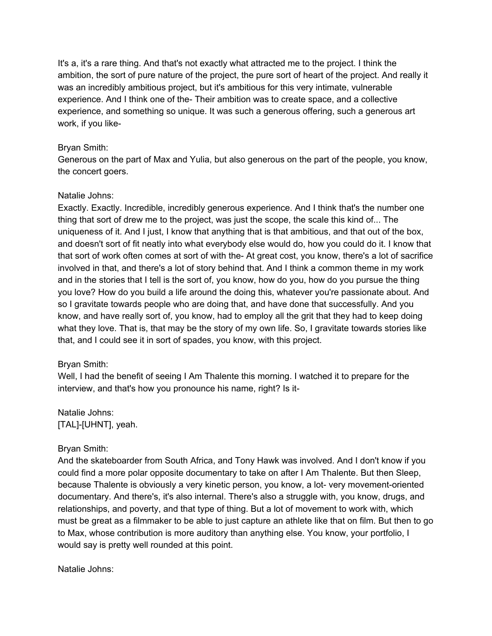It's a, it's a rare thing. And that's not exactly what attracted me to the project. I think the ambition, the sort of pure nature of the project, the pure sort of heart of the project. And really it was an incredibly ambitious project, but it's ambitious for this very intimate, vulnerable experience. And I think one of the- Their ambition was to create space, and a collective experience, and something so unique. It was such a generous offering, such a generous art work, if you like-

### Bryan Smith:

Generous on the part of Max and Yulia, but also generous on the part of the people, you know, the concert goers.

# Natalie Johns:

Exactly. Exactly. Incredible, incredibly generous experience. And I think that's the number one thing that sort of drew me to the project, was just the scope, the scale this kind of... The uniqueness of it. And I just, I know that anything that is that ambitious, and that out of the box, and doesn't sort of fit neatly into what everybody else would do, how you could do it. I know that that sort of work often comes at sort of with the- At great cost, you know, there's a lot of sacrifice involved in that, and there's a lot of story behind that. And I think a common theme in my work and in the stories that I tell is the sort of, you know, how do you, how do you pursue the thing you love? How do you build a life around the doing this, whatever you're passionate about. And so I gravitate towards people who are doing that, and have done that successfully. And you know, and have really sort of, you know, had to employ all the grit that they had to keep doing what they love. That is, that may be the story of my own life. So, I gravitate towards stories like that, and I could see it in sort of spades, you know, with this project.

# Bryan Smith:

Well, I had the benefit of seeing I Am Thalente this morning. I watched it to prepare for the interview, and that's how you pronounce his name, right? Is it-

# Natalie Johns: [TAL]-[UHNT], yeah.

# Bryan Smith:

And the skateboarder from South Africa, and Tony Hawk was involved. And I don't know if you could find a more polar opposite documentary to take on after I Am Thalente. But then Sleep, because Thalente is obviously a very kinetic person, you know, a lot- very movement-oriented documentary. And there's, it's also internal. There's also a struggle with, you know, drugs, and relationships, and poverty, and that type of thing. But a lot of movement to work with, which must be great as a filmmaker to be able to just capture an athlete like that on film. But then to go to Max, whose contribution is more auditory than anything else. You know, your portfolio, I would say is pretty well rounded at this point.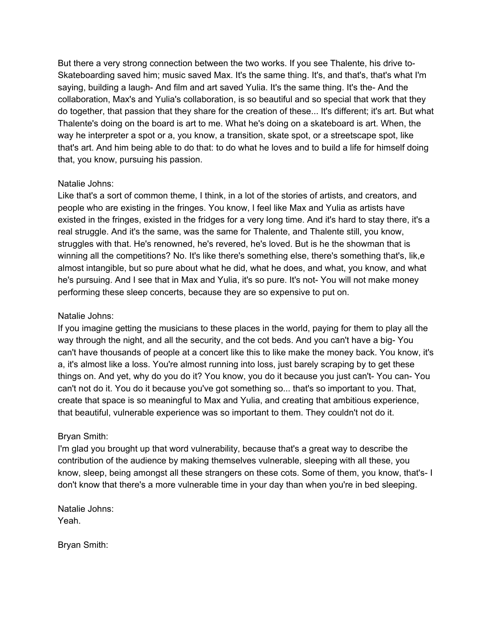But there a very strong connection between the two works. If you see Thalente, his drive to-Skateboarding saved him; music saved Max. It's the same thing. It's, and that's, that's what I'm saying, building a laugh- And film and art saved Yulia. It's the same thing. It's the- And the collaboration, Max's and Yulia's collaboration, is so beautiful and so special that work that they do together, that passion that they share for the creation of these... It's different; it's art. But what Thalente's doing on the board is art to me. What he's doing on a skateboard is art. When, the way he interpreter a spot or a, you know, a transition, skate spot, or a streetscape spot, like that's art. And him being able to do that: to do what he loves and to build a life for himself doing that, you know, pursuing his passion.

# Natalie Johns:

Like that's a sort of common theme, I think, in a lot of the stories of artists, and creators, and people who are existing in the fringes. You know, I feel like Max and Yulia as artists have existed in the fringes, existed in the fridges for a very long time. And it's hard to stay there, it's a real struggle. And it's the same, was the same for Thalente, and Thalente still, you know, struggles with that. He's renowned, he's revered, he's loved. But is he the showman that is winning all the competitions? No. It's like there's something else, there's something that's, lik,e almost intangible, but so pure about what he did, what he does, and what, you know, and what he's pursuing. And I see that in Max and Yulia, it's so pure. It's not- You will not make money performing these sleep concerts, because they are so expensive to put on.

# Natalie Johns:

If you imagine getting the musicians to these places in the world, paying for them to play all the way through the night, and all the security, and the cot beds. And you can't have a big- You can't have thousands of people at a concert like this to like make the money back. You know, it's a, it's almost like a loss. You're almost running into loss, just barely scraping by to get these things on. And yet, why do you do it? You know, you do it because you just can't- You can- You can't not do it. You do it because you've got something so... that's so important to you. That, create that space is so meaningful to Max and Yulia, and creating that ambitious experience, that beautiful, vulnerable experience was so important to them. They couldn't not do it.

# Bryan Smith:

I'm glad you brought up that word vulnerability, because that's a great way to describe the contribution of the audience by making themselves vulnerable, sleeping with all these, you know, sleep, being amongst all these strangers on these cots. Some of them, you know, that's- I don't know that there's a more vulnerable time in your day than when you're in bed sleeping.

Natalie Johns: Yeah.

Bryan Smith: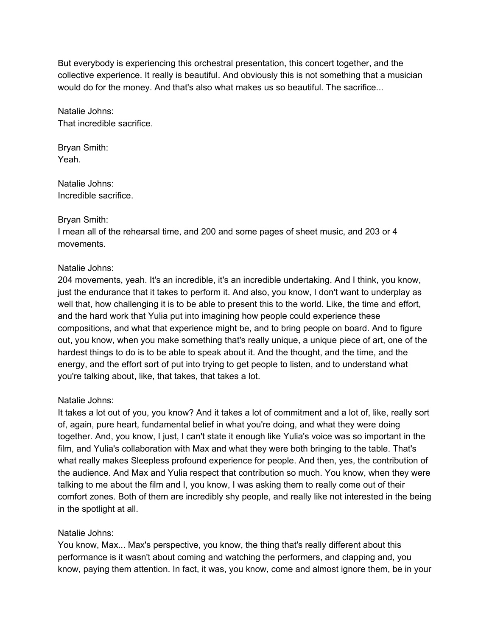But everybody is experiencing this orchestral presentation, this concert together, and the collective experience. It really is beautiful. And obviously this is not something that a musician would do for the money. And that's also what makes us so beautiful. The sacrifice...

Natalie Johns: That incredible sacrifice.

Bryan Smith: Yeah.

Natalie Johns: Incredible sacrifice.

# Bryan Smith:

I mean all of the rehearsal time, and 200 and some pages of sheet music, and 203 or 4 movements.

# Natalie Johns:

204 movements, yeah. It's an incredible, it's an incredible undertaking. And I think, you know, just the endurance that it takes to perform it. And also, you know, I don't want to underplay as well that, how challenging it is to be able to present this to the world. Like, the time and effort, and the hard work that Yulia put into imagining how people could experience these compositions, and what that experience might be, and to bring people on board. And to figure out, you know, when you make something that's really unique, a unique piece of art, one of the hardest things to do is to be able to speak about it. And the thought, and the time, and the energy, and the effort sort of put into trying to get people to listen, and to understand what you're talking about, like, that takes, that takes a lot.

# Natalie Johns:

It takes a lot out of you, you know? And it takes a lot of commitment and a lot of, like, really sort of, again, pure heart, fundamental belief in what you're doing, and what they were doing together. And, you know, I just, I can't state it enough like Yulia's voice was so important in the film, and Yulia's collaboration with Max and what they were both bringing to the table. That's what really makes Sleepless profound experience for people. And then, yes, the contribution of the audience. And Max and Yulia respect that contribution so much. You know, when they were talking to me about the film and I, you know, I was asking them to really come out of their comfort zones. Both of them are incredibly shy people, and really like not interested in the being in the spotlight at all.

### Natalie Johns:

You know, Max... Max's perspective, you know, the thing that's really different about this performance is it wasn't about coming and watching the performers, and clapping and, you know, paying them attention. In fact, it was, you know, come and almost ignore them, be in your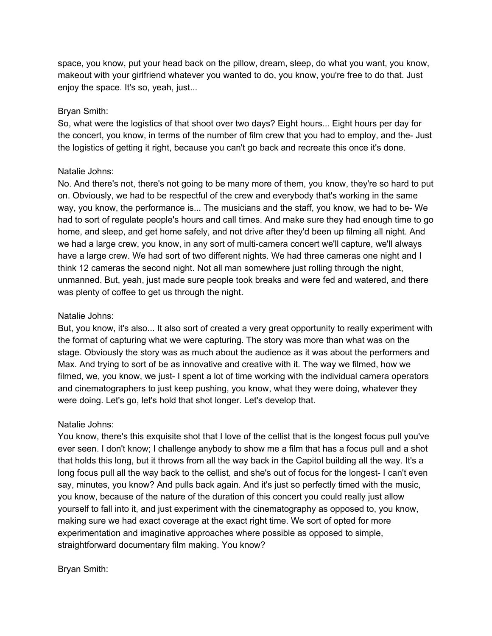space, you know, put your head back on the pillow, dream, sleep, do what you want, you know, makeout with your girlfriend whatever you wanted to do, you know, you're free to do that. Just enjoy the space. It's so, yeah, just...

### Bryan Smith:

So, what were the logistics of that shoot over two days? Eight hours... Eight hours per day for the concert, you know, in terms of the number of film crew that you had to employ, and the- Just the logistics of getting it right, because you can't go back and recreate this once it's done.

### Natalie Johns:

No. And there's not, there's not going to be many more of them, you know, they're so hard to put on. Obviously, we had to be respectful of the crew and everybody that's working in the same way, you know, the performance is... The musicians and the staff, you know, we had to be- We had to sort of regulate people's hours and call times. And make sure they had enough time to go home, and sleep, and get home safely, and not drive after they'd been up filming all night. And we had a large crew, you know, in any sort of multi-camera concert we'll capture, we'll always have a large crew. We had sort of two different nights. We had three cameras one night and I think 12 cameras the second night. Not all man somewhere just rolling through the night, unmanned. But, yeah, just made sure people took breaks and were fed and watered, and there was plenty of coffee to get us through the night.

### Natalie Johns:

But, you know, it's also... It also sort of created a very great opportunity to really experiment with the format of capturing what we were capturing. The story was more than what was on the stage. Obviously the story was as much about the audience as it was about the performers and Max. And trying to sort of be as innovative and creative with it. The way we filmed, how we filmed, we, you know, we just- I spent a lot of time working with the individual camera operators and cinematographers to just keep pushing, you know, what they were doing, whatever they were doing. Let's go, let's hold that shot longer. Let's develop that.

### Natalie Johns:

You know, there's this exquisite shot that I love of the cellist that is the longest focus pull you've ever seen. I don't know; I challenge anybody to show me a film that has a focus pull and a shot that holds this long, but it throws from all the way back in the Capitol building all the way. It's a long focus pull all the way back to the cellist, and she's out of focus for the longest- I can't even say, minutes, you know? And pulls back again. And it's just so perfectly timed with the music, you know, because of the nature of the duration of this concert you could really just allow yourself to fall into it, and just experiment with the cinematography as opposed to, you know, making sure we had exact coverage at the exact right time. We sort of opted for more experimentation and imaginative approaches where possible as opposed to simple, straightforward documentary film making. You know?

### Bryan Smith: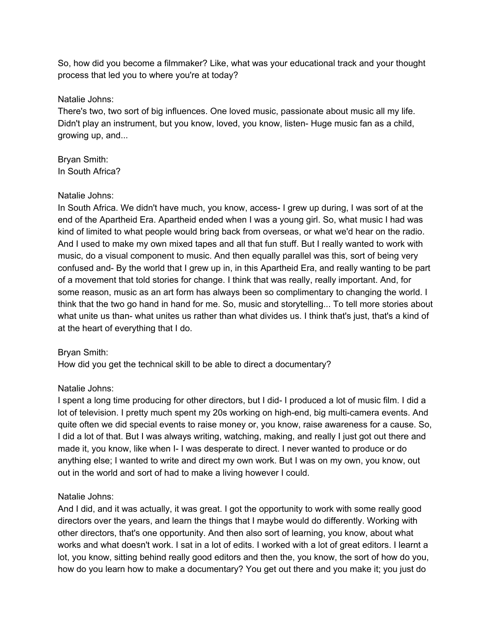So, how did you become a filmmaker? Like, what was your educational track and your thought process that led you to where you're at today?

# Natalie Johns:

There's two, two sort of big influences. One loved music, passionate about music all my life. Didn't play an instrument, but you know, loved, you know, listen- Huge music fan as a child, growing up, and...

Bryan Smith: In South Africa?

# Natalie Johns:

In South Africa. We didn't have much, you know, access- I grew up during, I was sort of at the end of the Apartheid Era. Apartheid ended when I was a young girl. So, what music I had was kind of limited to what people would bring back from overseas, or what we'd hear on the radio. And I used to make my own mixed tapes and all that fun stuff. But I really wanted to work with music, do a visual component to music. And then equally parallel was this, sort of being very confused and- By the world that I grew up in, in this Apartheid Era, and really wanting to be part of a movement that told stories for change. I think that was really, really important. And, for some reason, music as an art form has always been so complimentary to changing the world. I think that the two go hand in hand for me. So, music and storytelling... To tell more stories about what unite us than- what unites us rather than what divides us. I think that's just, that's a kind of at the heart of everything that I do.

# Bryan Smith:

How did you get the technical skill to be able to direct a documentary?

# Natalie Johns:

I spent a long time producing for other directors, but I did- I produced a lot of music film. I did a lot of television. I pretty much spent my 20s working on high-end, big multi-camera events. And quite often we did special events to raise money or, you know, raise awareness for a cause. So, I did a lot of that. But I was always writing, watching, making, and really I just got out there and made it, you know, like when I- I was desperate to direct. I never wanted to produce or do anything else; I wanted to write and direct my own work. But I was on my own, you know, out out in the world and sort of had to make a living however I could.

# Natalie Johns:

And I did, and it was actually, it was great. I got the opportunity to work with some really good directors over the years, and learn the things that I maybe would do differently. Working with other directors, that's one opportunity. And then also sort of learning, you know, about what works and what doesn't work. I sat in a lot of edits. I worked with a lot of great editors. I learnt a lot, you know, sitting behind really good editors and then the, you know, the sort of how do you, how do you learn how to make a documentary? You get out there and you make it; you just do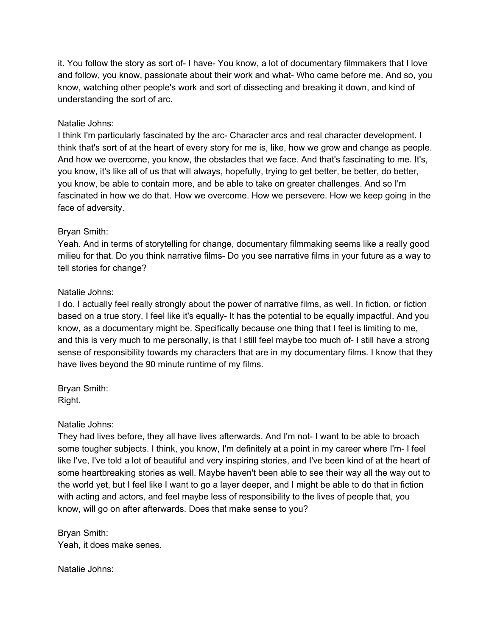it. You follow the story as sort of- I have- You know, a lot of documentary filmmakers that I love and follow, you know, passionate about their work and what- Who came before me. And so, you know, watching other people's work and sort of dissecting and breaking it down, and kind of understanding the sort of arc.

### Natalie Johns:

I think I'm particularly fascinated by the arc- Character arcs and real character development. I think that's sort of at the heart of every story for me is, like, how we grow and change as people. And how we overcome, you know, the obstacles that we face. And that's fascinating to me. It's, you know, it's like all of us that will always, hopefully, trying to get better, be better, do better, you know, be able to contain more, and be able to take on greater challenges. And so I'm fascinated in how we do that. How we overcome. How we persevere. How we keep going in the face of adversity.

### Bryan Smith:

Yeah. And in terms of storytelling for change, documentary filmmaking seems like a really good milieu for that. Do you think narrative films- Do you see narrative films in your future as a way to tell stories for change?

#### Natalie Johns:

I do. I actually feel really strongly about the power of narrative films, as well. In fiction, or fiction based on a true story. I feel like it's equally- It has the potential to be equally impactful. And you know, as a documentary might be. Specifically because one thing that I feel is limiting to me, and this is very much to me personally, is that I still feel maybe too much of- I still have a strong sense of responsibility towards my characters that are in my documentary films. I know that they have lives beyond the 90 minute runtime of my films.

Bryan Smith: Right.

#### Natalie Johns:

They had lives before, they all have lives afterwards. And I'm not- I want to be able to broach some tougher subjects. I think, you know, I'm definitely at a point in my career where I'm- I feel like I've, I've told a lot of beautiful and very inspiring stories, and I've been kind of at the heart of some heartbreaking stories as well. Maybe haven't been able to see their way all the way out to the world yet, but I feel like I want to go a layer deeper, and I might be able to do that in fiction with acting and actors, and feel maybe less of responsibility to the lives of people that, you know, will go on after afterwards. Does that make sense to you?

Bryan Smith: Yeah, it does make senes.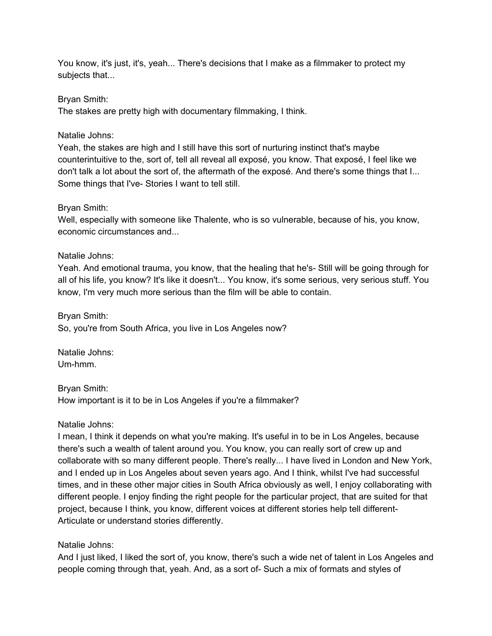You know, it's just, it's, yeah... There's decisions that I make as a filmmaker to protect my subjects that...

# Bryan Smith:

The stakes are pretty high with documentary filmmaking, I think.

# Natalie Johns:

Yeah, the stakes are high and I still have this sort of nurturing instinct that's maybe counterintuitive to the, sort of, tell all reveal all exposé, you know. That exposé, I feel like we don't talk a lot about the sort of, the aftermath of the exposé. And there's some things that I... Some things that I've- Stories I want to tell still.

# Bryan Smith:

Well, especially with someone like Thalente, who is so vulnerable, because of his, you know, economic circumstances and...

# Natalie Johns:

Yeah. And emotional trauma, you know, that the healing that he's- Still will be going through for all of his life, you know? It's like it doesn't... You know, it's some serious, very serious stuff. You know, I'm very much more serious than the film will be able to contain.

Bryan Smith: So, you're from South Africa, you live in Los Angeles now?

Natalie Johns: Um-hmm.

Bryan Smith: How important is it to be in Los Angeles if you're a filmmaker?

### Natalie Johns:

I mean, I think it depends on what you're making. It's useful in to be in Los Angeles, because there's such a wealth of talent around you. You know, you can really sort of crew up and collaborate with so many different people. There's really... I have lived in London and New York, and I ended up in Los Angeles about seven years ago. And I think, whilst I've had successful times, and in these other major cities in South Africa obviously as well, I enjoy collaborating with different people. I enjoy finding the right people for the particular project, that are suited for that project, because I think, you know, different voices at different stories help tell different-Articulate or understand stories differently.

# Natalie Johns:

And I just liked, I liked the sort of, you know, there's such a wide net of talent in Los Angeles and people coming through that, yeah. And, as a sort of- Such a mix of formats and styles of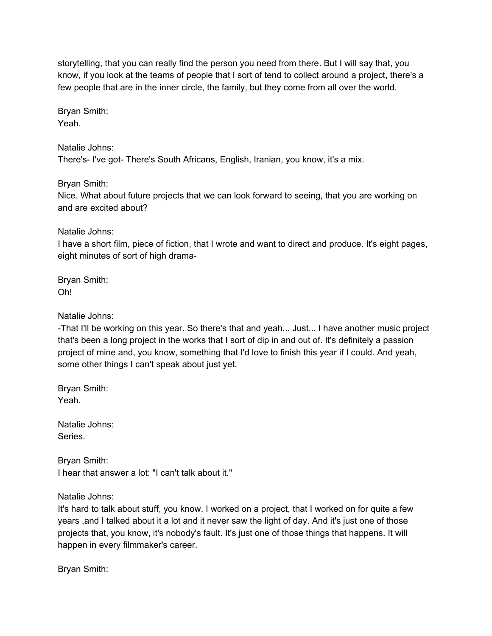storytelling, that you can really find the person you need from there. But I will say that, you know, if you look at the teams of people that I sort of tend to collect around a project, there's a few people that are in the inner circle, the family, but they come from all over the world.

Bryan Smith: Yeah.

Natalie Johns: There's- I've got- There's South Africans, English, Iranian, you know, it's a mix.

Bryan Smith: Nice. What about future projects that we can look forward to seeing, that you are working on and are excited about?

Natalie Johns:

I have a short film, piece of fiction, that I wrote and want to direct and produce. It's eight pages, eight minutes of sort of high drama-

Bryan Smith: Oh!

Natalie Johns:

-That I'll be working on this year. So there's that and yeah... Just... I have another music project that's been a long project in the works that I sort of dip in and out of. It's definitely a passion project of mine and, you know, something that I'd love to finish this year if I could. And yeah, some other things I can't speak about just yet.

Bryan Smith: Yeah.

Natalie Johns: Series.

Bryan Smith: I hear that answer a lot: "I can't talk about it."

Natalie Johns:

It's hard to talk about stuff, you know. I worked on a project, that I worked on for quite a few years ,and I talked about it a lot and it never saw the light of day. And it's just one of those projects that, you know, it's nobody's fault. It's just one of those things that happens. It will happen in every filmmaker's career.

Bryan Smith: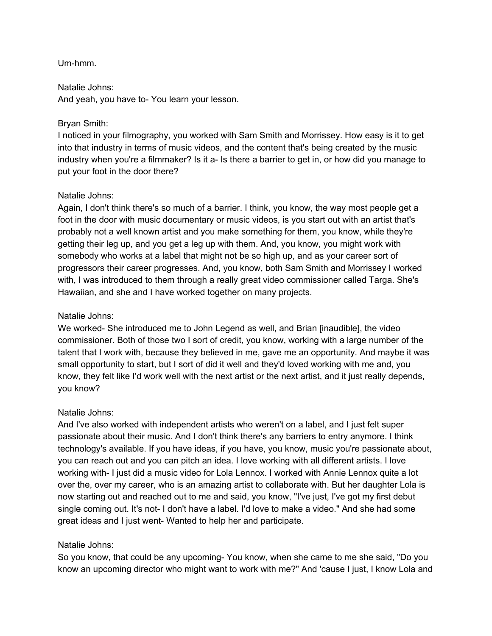# Um-hmm.

#### Natalie Johns:

And yeah, you have to- You learn your lesson.

### Bryan Smith:

I noticed in your filmography, you worked with Sam Smith and Morrissey. How easy is it to get into that industry in terms of music videos, and the content that's being created by the music industry when you're a filmmaker? Is it a- Is there a barrier to get in, or how did you manage to put your foot in the door there?

# Natalie Johns:

Again, I don't think there's so much of a barrier. I think, you know, the way most people get a foot in the door with music documentary or music videos, is you start out with an artist that's probably not a well known artist and you make something for them, you know, while they're getting their leg up, and you get a leg up with them. And, you know, you might work with somebody who works at a label that might not be so high up, and as your career sort of progressors their career progresses. And, you know, both Sam Smith and Morrissey I worked with, I was introduced to them through a really great video commissioner called Targa. She's Hawaiian, and she and I have worked together on many projects.

### Natalie Johns:

We worked- She introduced me to John Legend as well, and Brian [inaudible], the video commissioner. Both of those two I sort of credit, you know, working with a large number of the talent that I work with, because they believed in me, gave me an opportunity. And maybe it was small opportunity to start, but I sort of did it well and they'd loved working with me and, you know, they felt like I'd work well with the next artist or the next artist, and it just really depends, you know?

### Natalie Johns:

And I've also worked with independent artists who weren't on a label, and I just felt super passionate about their music. And I don't think there's any barriers to entry anymore. I think technology's available. If you have ideas, if you have, you know, music you're passionate about, you can reach out and you can pitch an idea. I love working with all different artists. I love working with- I just did a music video for Lola Lennox. I worked with Annie Lennox quite a lot over the, over my career, who is an amazing artist to collaborate with. But her daughter Lola is now starting out and reached out to me and said, you know, "I've just, I've got my first debut single coming out. It's not- I don't have a label. I'd love to make a video." And she had some great ideas and I just went- Wanted to help her and participate.

### Natalie Johns:

So you know, that could be any upcoming- You know, when she came to me she said, "Do you know an upcoming director who might want to work with me?" And 'cause I just, I know Lola and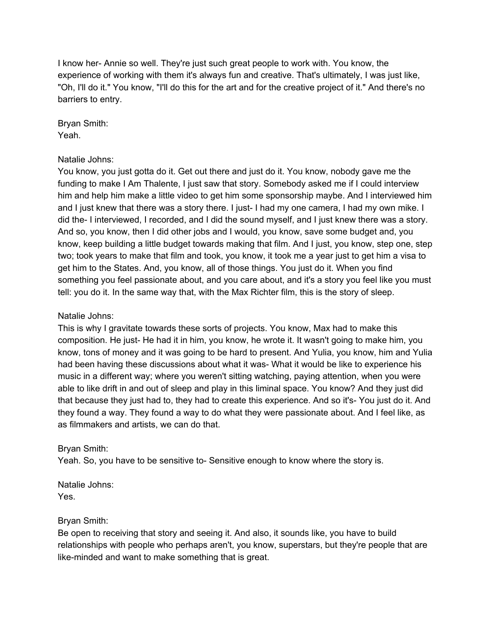I know her- Annie so well. They're just such great people to work with. You know, the experience of working with them it's always fun and creative. That's ultimately, I was just like, "Oh, I'll do it." You know, "I'll do this for the art and for the creative project of it." And there's no barriers to entry.

Bryan Smith: Yeah.

# Natalie Johns:

You know, you just gotta do it. Get out there and just do it. You know, nobody gave me the funding to make I Am Thalente, I just saw that story. Somebody asked me if I could interview him and help him make a little video to get him some sponsorship maybe. And I interviewed him and I just knew that there was a story there. I just- I had my one camera, I had my own mike. I did the- I interviewed, I recorded, and I did the sound myself, and I just knew there was a story. And so, you know, then I did other jobs and I would, you know, save some budget and, you know, keep building a little budget towards making that film. And I just, you know, step one, step two; took years to make that film and took, you know, it took me a year just to get him a visa to get him to the States. And, you know, all of those things. You just do it. When you find something you feel passionate about, and you care about, and it's a story you feel like you must tell: you do it. In the same way that, with the Max Richter film, this is the story of sleep.

# Natalie Johns:

This is why I gravitate towards these sorts of projects. You know, Max had to make this composition. He just- He had it in him, you know, he wrote it. It wasn't going to make him, you know, tons of money and it was going to be hard to present. And Yulia, you know, him and Yulia had been having these discussions about what it was- What it would be like to experience his music in a different way; where you weren't sitting watching, paying attention, when you were able to like drift in and out of sleep and play in this liminal space. You know? And they just did that because they just had to, they had to create this experience. And so it's- You just do it. And they found a way. They found a way to do what they were passionate about. And I feel like, as as filmmakers and artists, we can do that.

### Bryan Smith:

Yeah. So, you have to be sensitive to- Sensitive enough to know where the story is.

Natalie Johns: Yes.

### Bryan Smith:

Be open to receiving that story and seeing it. And also, it sounds like, you have to build relationships with people who perhaps aren't, you know, superstars, but they're people that are like-minded and want to make something that is great.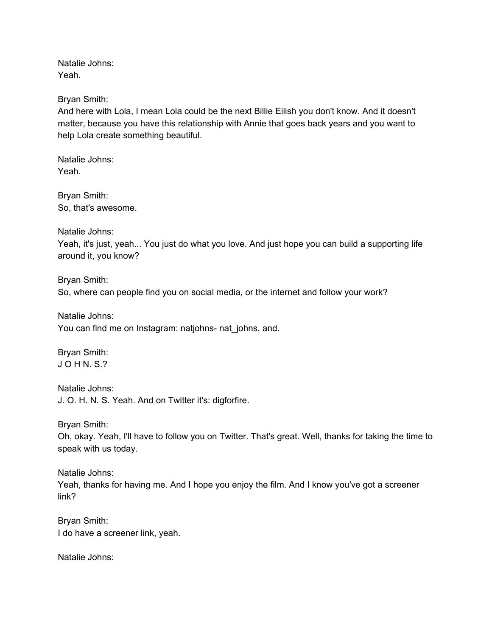Natalie Johns: Yeah.

Bryan Smith:

And here with Lola, I mean Lola could be the next Billie Eilish you don't know. And it doesn't matter, because you have this relationship with Annie that goes back years and you want to help Lola create something beautiful.

Natalie Johns: Yeah.

Bryan Smith: So, that's awesome.

Natalie Johns:

Yeah, it's just, yeah... You just do what you love. And just hope you can build a supporting life around it, you know?

Bryan Smith: So, where can people find you on social media, or the internet and follow your work?

Natalie Johns: You can find me on Instagram: natjohns- nat\_johns, and.

Bryan Smith: J O H N. S.?

Natalie Johns: J. O. H. N. S. Yeah. And on Twitter it's: digforfire.

Bryan Smith:

Oh, okay. Yeah, I'll have to follow you on Twitter. That's great. Well, thanks for taking the time to speak with us today.

Natalie Johns: Yeah, thanks for having me. And I hope you enjoy the film. And I know you've got a screener link?

Bryan Smith: I do have a screener link, yeah.